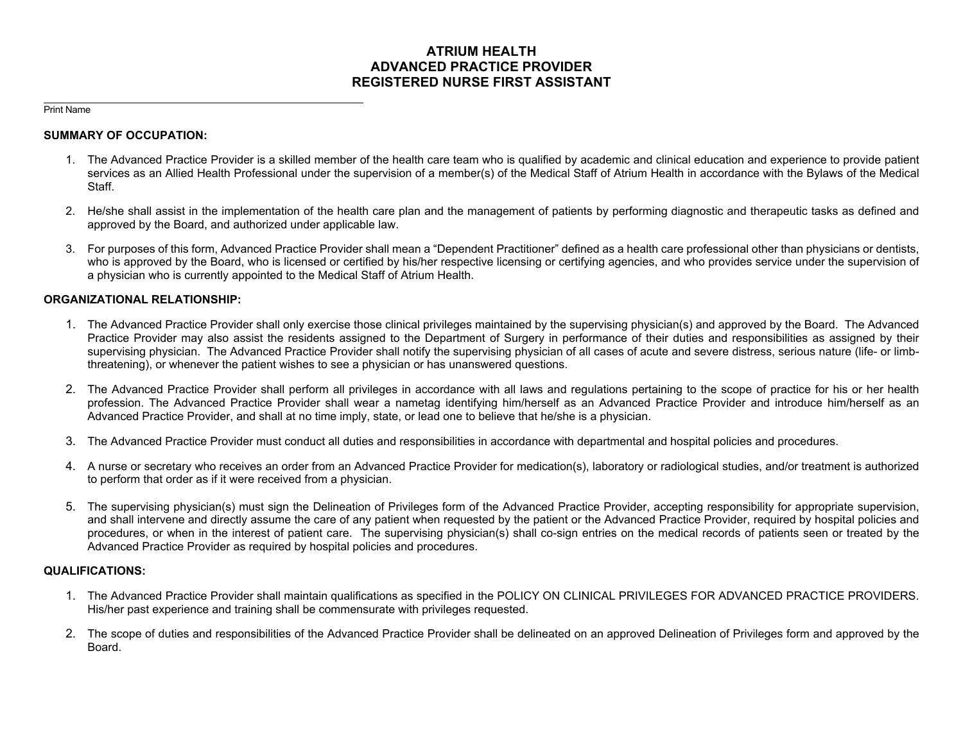# **ATRIUM HEALTH ADVANCED PRACTICE PROVIDER REGISTERED NURSE FIRST ASSISTANT**

#### Print Name

### **SUMMARY OF OCCUPATION:**

- 1. The Advanced Practice Provider is a skilled member of the health care team who is qualified by academic and clinical education and experience to provide patient services as an Allied Health Professional under the supervision of a member(s) of the Medical Staff of Atrium Health in accordance with the Bylaws of the Medical Staff.
- 2. He/she shall assist in the implementation of the health care plan and the management of patients by performing diagnostic and therapeutic tasks as defined and approved by the Board, and authorized under applicable law.
- 3. For purposes of this form, Advanced Practice Provider shall mean a "Dependent Practitioner" defined as a health care professional other than physicians or dentists, who is approved by the Board, who is licensed or certified by his/her respective licensing or certifying agencies, and who provides service under the supervision of a physician who is currently appointed to the Medical Staff of Atrium Health.

## **ORGANIZATIONAL RELATIONSHIP:**

- 1. The Advanced Practice Provider shall only exercise those clinical privileges maintained by the supervising physician(s) and approved by the Board. The Advanced Practice Provider may also assist the residents assigned to the Department of Surgery in performance of their duties and responsibilities as assigned by their supervising physician. The Advanced Practice Provider shall notify the supervising physician of all cases of acute and severe distress, serious nature (life- or limbthreatening), or whenever the patient wishes to see a physician or has unanswered questions.
- 2. The Advanced Practice Provider shall perform all privileges in accordance with all laws and regulations pertaining to the scope of practice for his or her health profession. The Advanced Practice Provider shall wear a nametag identifying him/herself as an Advanced Practice Provider and introduce him/herself as an Advanced Practice Provider, and shall at no time imply, state, or lead one to believe that he/she is a physician.
- 3. The Advanced Practice Provider must conduct all duties and responsibilities in accordance with departmental and hospital policies and procedures.
- 4. A nurse or secretary who receives an order from an Advanced Practice Provider for medication(s), laboratory or radiological studies, and/or treatment is authorized to perform that order as if it were received from a physician.
- 5. The supervising physician(s) must sign the Delineation of Privileges form of the Advanced Practice Provider, accepting responsibility for appropriate supervision, and shall intervene and directly assume the care of any patient when requested by the patient or the Advanced Practice Provider, required by hospital policies and procedures, or when in the interest of patient care. The supervising physician(s) shall co-sign entries on the medical records of patients seen or treated by the Advanced Practice Provider as required by hospital policies and procedures.

### **QUALIFICATIONS:**

- 1. The Advanced Practice Provider shall maintain qualifications as specified in the POLICY ON CLINICAL PRIVILEGES FOR ADVANCED PRACTICE PROVIDERS. His/her past experience and training shall be commensurate with privileges requested.
- 2. The scope of duties and responsibilities of the Advanced Practice Provider shall be delineated on an approved Delineation of Privileges form and approved by the Board.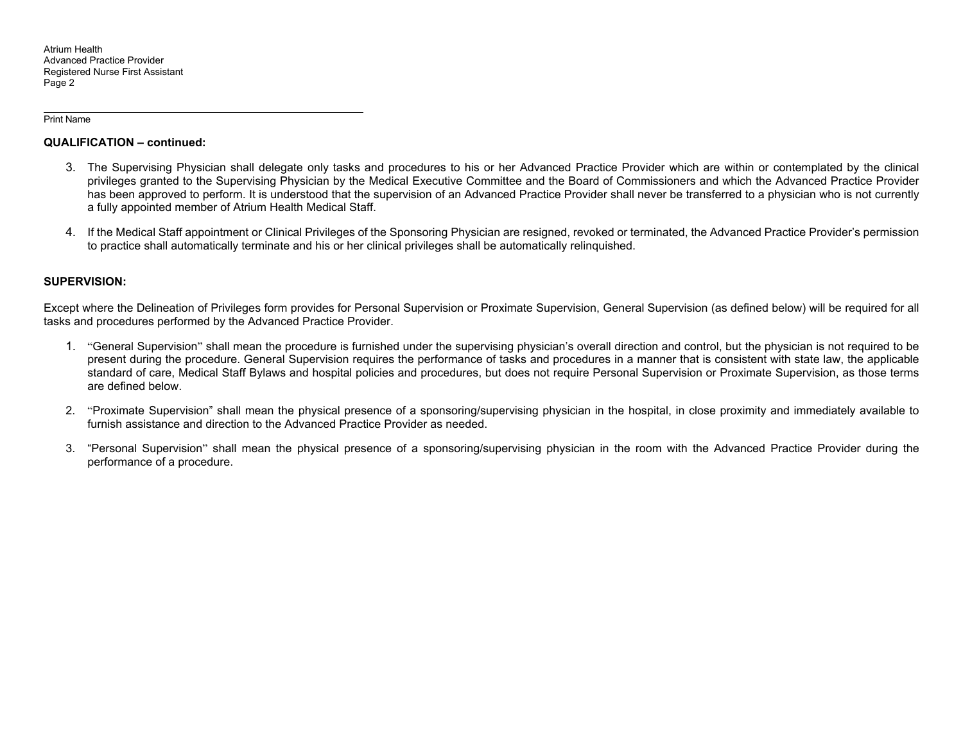Atrium Health Advanced Practice Provider Registered Nurse First Assistant Page 2

Print Name

#### **QUALIFICATION – continued:**

- 3. The Supervising Physician shall delegate only tasks and procedures to his or her Advanced Practice Provider which are within or contemplated by the clinical privileges granted to the Supervising Physician by the Medical Executive Committee and the Board of Commissioners and which the Advanced Practice Provider has been approved to perform. It is understood that the supervision of an Advanced Practice Provider shall never be transferred to a physician who is not currently a fully appointed member of Atrium Health Medical Staff.
- 4. If the Medical Staff appointment or Clinical Privileges of the Sponsoring Physician are resigned, revoked or terminated, the Advanced Practice Provider's permission to practice shall automatically terminate and his or her clinical privileges shall be automatically relinquished.

## **SUPERVISION:**

Except where the Delineation of Privileges form provides for Personal Supervision or Proximate Supervision, General Supervision (as defined below) will be required for all tasks and procedures performed by the Advanced Practice Provider.

- 1. "General Supervision" shall mean the procedure is furnished under the supervising physician's overall direction and control, but the physician is not required to be present during the procedure. General Supervision requires the performance of tasks and procedures in a manner that is consistent with state law, the applicable standard of care, Medical Staff Bylaws and hospital policies and procedures, but does not require Personal Supervision or Proximate Supervision, as those terms are defined below.
- 2. "Proximate Supervision" shall mean the physical presence of a sponsoring/supervising physician in the hospital, in close proximity and immediately available to furnish assistance and direction to the Advanced Practice Provider as needed.
- 3. "Personal Supervision" shall mean the physical presence of a sponsoring/supervising physician in the room with the Advanced Practice Provider during the performance of a procedure.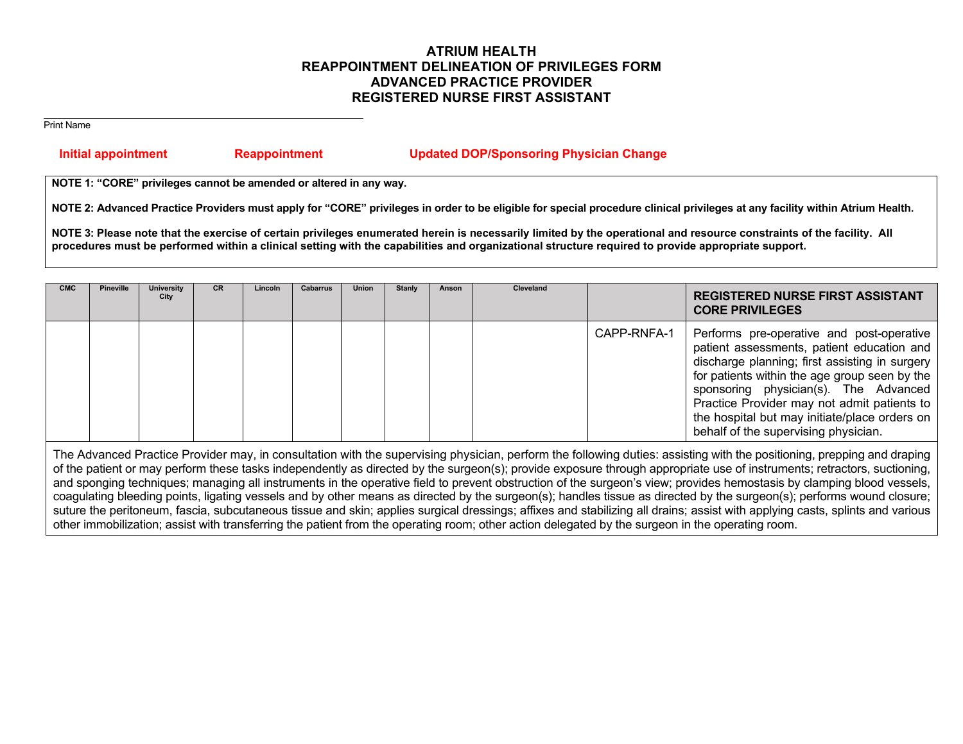# **ATRIUM HEALTH REAPPOINTMENT DELINEATION OF PRIVILEGES FORM ADVANCED PRACTICE PROVIDER REGISTERED NURSE FIRST ASSISTANT**

Print Name

## **Initial appointment Reappointment Updated DOP/Sponsoring Physician Change**

**NOTE 1: "CORE" privileges cannot be amended or altered in any way.** 

**NOTE 2: Advanced Practice Providers must apply for "CORE" privileges in order to be eligible for special procedure clinical privileges at any facility within Atrium Health.** 

NOTE 3: Please note that the exercise of certain privileges enumerated herein is necessarily limited by the operational and resource constraints of the facility. All **procedures must be performed within a clinical setting with the capabilities and organizational structure required to provide appropriate support.**

| CMC | <b>Pineville</b> | University<br>City | <b>CR</b> | Lincoln | <b>Cabarrus</b> | <b>Union</b> | <b>Stanly</b> | Anson | Cleveland |             | <b>REGISTERED NURSE FIRST ASSISTANT</b><br><b>CORE PRIVILEGES</b>                                                                                                                                                                                                                                                                                                           |
|-----|------------------|--------------------|-----------|---------|-----------------|--------------|---------------|-------|-----------|-------------|-----------------------------------------------------------------------------------------------------------------------------------------------------------------------------------------------------------------------------------------------------------------------------------------------------------------------------------------------------------------------------|
|     |                  |                    |           |         |                 |              |               |       |           | CAPP-RNFA-1 | Performs pre-operative and post-operative<br>patient assessments, patient education and<br>discharge planning; first assisting in surgery<br>for patients within the age group seen by the<br>sponsoring physician(s). The Advanced<br>Practice Provider may not admit patients to<br>the hospital but may initiate/place orders on<br>behalf of the supervising physician. |

The Advanced Practice Provider may, in consultation with the supervising physician, perform the following duties: assisting with the positioning, prepping and draping of the patient or may perform these tasks independently as directed by the surgeon(s); provide exposure through appropriate use of instruments; retractors, suctioning, and sponging techniques; managing all instruments in the operative field to prevent obstruction of the surgeon's view; provides hemostasis by clamping blood vessels, coagulating bleeding points, ligating vessels and by other means as directed by the surgeon(s); handles tissue as directed by the surgeon(s); performs wound closure; suture the peritoneum, fascia, subcutaneous tissue and skin; applies surgical dressings; affixes and stabilizing all drains; assist with applying casts, splints and various other immobilization; assist with transferring the patient from the operating room; other action delegated by the surgeon in the operating room.